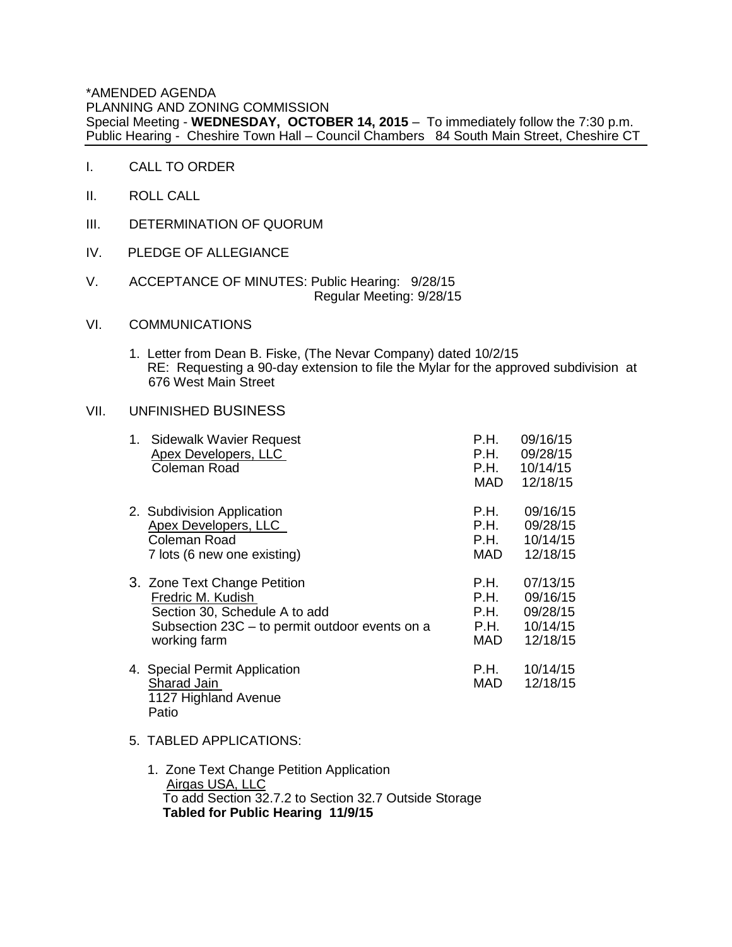\*AMENDED AGENDA PLANNING AND ZONING COMMISSION Special Meeting - **WEDNESDAY, OCTOBER 14, 2015** – To immediately follow the 7:30 p.m. Public Hearing - Cheshire Town Hall – Council Chambers 84 South Main Street, Cheshire CT

- I. CALL TO ORDER
- II. ROLL CALL
- III. DETERMINATION OF QUORUM
- IV. PLEDGE OF ALLEGIANCE
- V. ACCEPTANCE OF MINUTES: Public Hearing: 9/28/15 Regular Meeting: 9/28/15

## VI. COMMUNICATIONS

1. Letter from Dean B. Fiske, (The Nevar Company) dated 10/2/15 RE: Requesting a 90-day extension to file the Mylar for the approved subdivision at 676 West Main Street

## VII. UNFINISHED BUSINESS

| 1. Sidewalk Wavier Request<br><b>Apex Developers, LLC</b><br>Coleman Road     | P.H.<br>P.H.<br>P.H.<br>MAD | 09/16/15<br>09/28/15<br>10/14/15<br>12/18/15 |
|-------------------------------------------------------------------------------|-----------------------------|----------------------------------------------|
| 2. Subdivision Application                                                    | P.H.                        | 09/16/15                                     |
| <b>Apex Developers, LLC</b>                                                   | P.H.                        | 09/28/15                                     |
| Coleman Road                                                                  | P.H.                        | 10/14/15                                     |
| 7 lots (6 new one existing)                                                   | MAD                         | 12/18/15                                     |
| 3. Zone Text Change Petition                                                  | P.H.                        | 07/13/15                                     |
| Fredric M. Kudish                                                             | P.H.                        | 09/16/15                                     |
| Section 30, Schedule A to add                                                 | P.H.                        | 09/28/15                                     |
| Subsection 23C - to permit outdoor events on a                                | P.H.                        | 10/14/15                                     |
| working farm                                                                  | MAD.                        | 12/18/15                                     |
| 4. Special Permit Application<br>Sharad Jain<br>1127 Highland Avenue<br>Patio | P.H.<br>MAD                 |                                              |

- 5. TABLED APPLICATIONS:
	- 1. Zone Text Change Petition Application Airgas USA, LLC To add Section 32.7.2 to Section 32.7 Outside Storage **Tabled for Public Hearing 11/9/15**